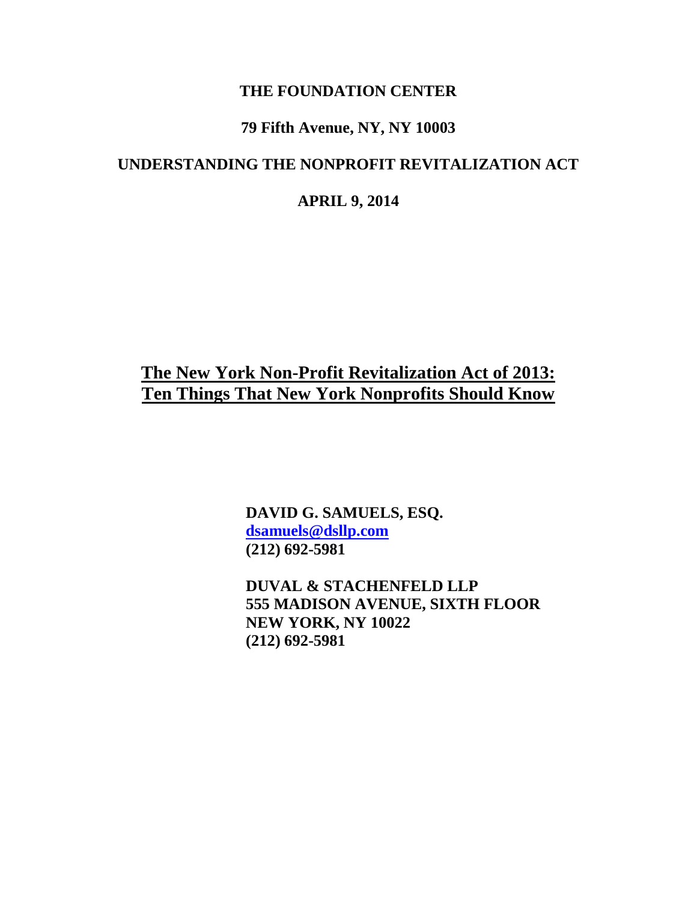#### **THE FOUNDATION CENTER**

## **79 Fifth Avenue, NY, NY 10003**

### **UNDERSTANDING THE NONPROFIT REVITALIZATION ACT**

#### **APRIL 9, 2014**

## **The New York Non-Profit Revitalization Act of 2013: Ten Things That New York Nonprofits Should Know**

**DAVID G. SAMUELS, ESQ. [dsamuels@dsllp.com](mailto:dsamuels@dsllp.com) (212) 692-5981**

**DUVAL & STACHENFELD LLP 555 MADISON AVENUE, SIXTH FLOOR NEW YORK, NY 10022 (212) 692-5981**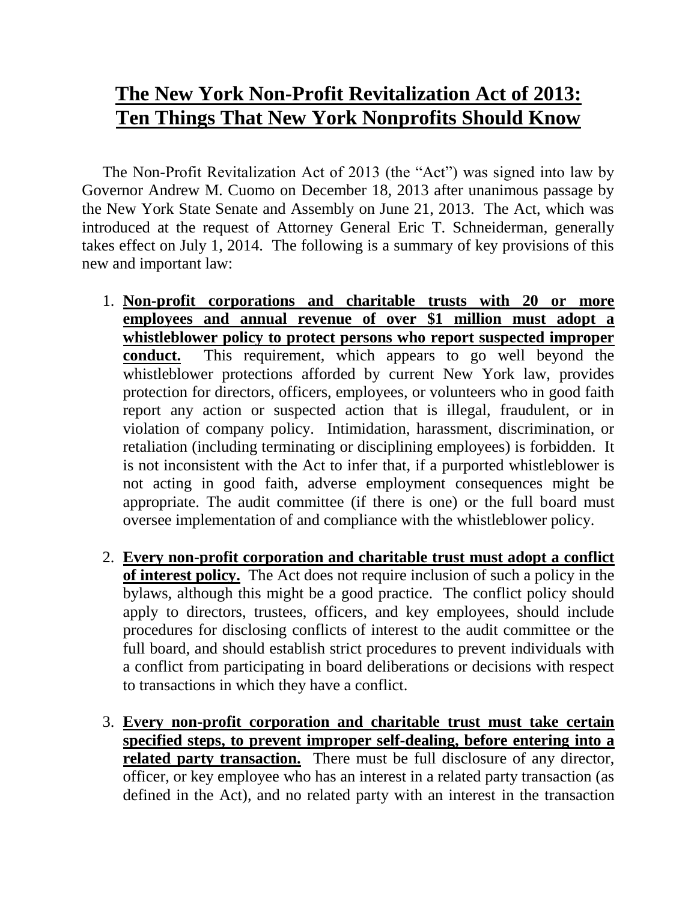# **The New York Non-Profit Revitalization Act of 2013: Ten Things That New York Nonprofits Should Know**

The Non-Profit Revitalization Act of 2013 (the "Act") was signed into law by Governor Andrew M. Cuomo on December 18, 2013 after unanimous passage by the New York State Senate and Assembly on June 21, 2013. The Act, which was introduced at the request of Attorney General Eric T. Schneiderman, generally takes effect on July 1, 2014. The following is a summary of key provisions of this new and important law:

- 1. **Non-profit corporations and charitable trusts with 20 or more employees and annual revenue of over \$1 million must adopt a whistleblower policy to protect persons who report suspected improper conduct.** This requirement, which appears to go well beyond the whistleblower protections afforded by current New York law, provides protection for directors, officers, employees, or volunteers who in good faith report any action or suspected action that is illegal, fraudulent, or in violation of company policy. Intimidation, harassment, discrimination, or retaliation (including terminating or disciplining employees) is forbidden. It is not inconsistent with the Act to infer that, if a purported whistleblower is not acting in good faith, adverse employment consequences might be appropriate. The audit committee (if there is one) or the full board must oversee implementation of and compliance with the whistleblower policy.
- 2. **Every non-profit corporation and charitable trust must adopt a conflict of interest policy.** The Act does not require inclusion of such a policy in the bylaws, although this might be a good practice. The conflict policy should apply to directors, trustees, officers, and key employees, should include procedures for disclosing conflicts of interest to the audit committee or the full board, and should establish strict procedures to prevent individuals with a conflict from participating in board deliberations or decisions with respect to transactions in which they have a conflict.
- 3. **Every non-profit corporation and charitable trust must take certain specified steps, to prevent improper self-dealing, before entering into a related party transaction.** There must be full disclosure of any director, officer, or key employee who has an interest in a related party transaction (as defined in the Act), and no related party with an interest in the transaction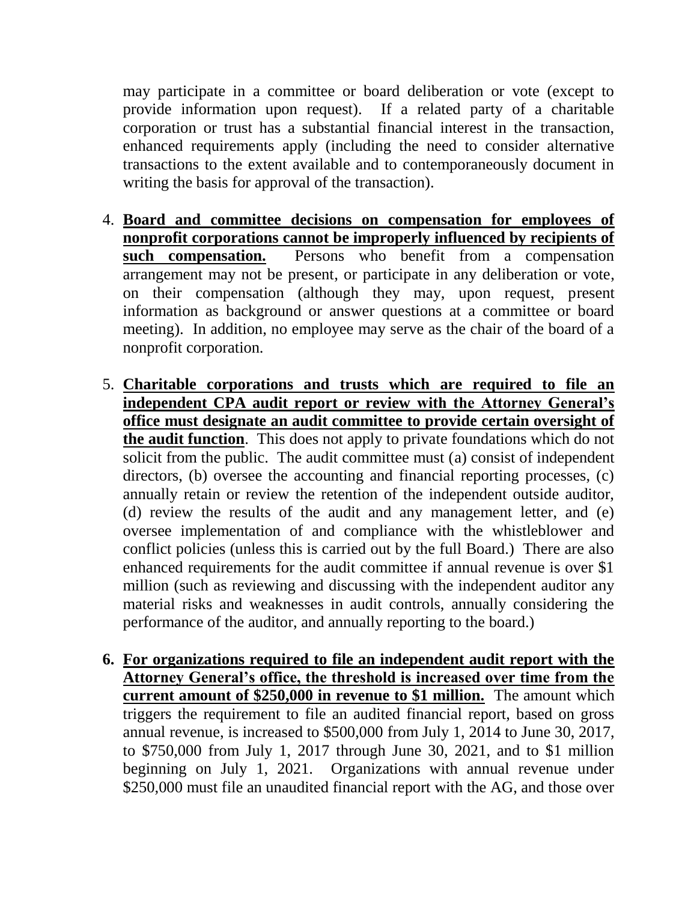may participate in a committee or board deliberation or vote (except to provide information upon request). If a related party of a charitable corporation or trust has a substantial financial interest in the transaction, enhanced requirements apply (including the need to consider alternative transactions to the extent available and to contemporaneously document in writing the basis for approval of the transaction).

- 4. **Board and committee decisions on compensation for employees of nonprofit corporations cannot be improperly influenced by recipients of such compensation.** Persons who benefit from a compensation arrangement may not be present, or participate in any deliberation or vote, on their compensation (although they may, upon request, present information as background or answer questions at a committee or board meeting). In addition, no employee may serve as the chair of the board of a nonprofit corporation.
- 5. **Charitable corporations and trusts which are required to file an independent CPA audit report or review with the Attorney General's office must designate an audit committee to provide certain oversight of the audit function**. This does not apply to private foundations which do not solicit from the public. The audit committee must (a) consist of independent directors, (b) oversee the accounting and financial reporting processes, (c) annually retain or review the retention of the independent outside auditor, (d) review the results of the audit and any management letter, and (e) oversee implementation of and compliance with the whistleblower and conflict policies (unless this is carried out by the full Board.) There are also enhanced requirements for the audit committee if annual revenue is over \$1 million (such as reviewing and discussing with the independent auditor any material risks and weaknesses in audit controls, annually considering the performance of the auditor, and annually reporting to the board.)
- **6. For organizations required to file an independent audit report with the Attorney General's office, the threshold is increased over time from the current amount of \$250,000 in revenue to \$1 million.** The amount which triggers the requirement to file an audited financial report, based on gross annual revenue, is increased to \$500,000 from July 1, 2014 to June 30, 2017, to \$750,000 from July 1, 2017 through June 30, 2021, and to \$1 million beginning on July 1, 2021. Organizations with annual revenue under \$250,000 must file an unaudited financial report with the AG, and those over